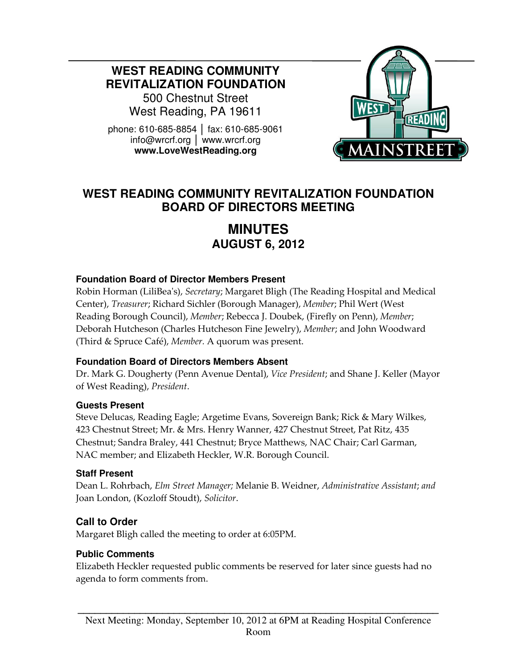**WEST READING COMMUNITY REVITALIZATION FOUNDATION** 

500 Chestnut Street West Reading, PA 19611

phone: 610-685-8854 │ fax: 610-685-9061 info@wrcrf.org │ www.wrcrf.org **www.LoveWestReading.org** 



# **WEST READING COMMUNITY REVITALIZATION FOUNDATION BOARD OF DIRECTORS MEETING**

# **MINUTES AUGUST 6, 2012**

#### **Foundation Board of Director Members Present**

Robin Horman (LiliBea's), Secretary; Margaret Bligh (The Reading Hospital and Medical Center), Treasurer; Richard Sichler (Borough Manager), Member; Phil Wert (West Reading Borough Council), Member; Rebecca J. Doubek, (Firefly on Penn), Member; Deborah Hutcheson (Charles Hutcheson Fine Jewelry), Member; and John Woodward (Third & Spruce Café), Member. A quorum was present.

#### **Foundation Board of Directors Members Absent**

Dr. Mark G. Dougherty (Penn Avenue Dental), Vice President; and Shane J. Keller (Mayor of West Reading), President.

#### **Guests Present**

Steve Delucas, Reading Eagle; Argetime Evans, Sovereign Bank; Rick & Mary Wilkes, 423 Chestnut Street; Mr. & Mrs. Henry Wanner, 427 Chestnut Street, Pat Ritz, 435 Chestnut; Sandra Braley, 441 Chestnut; Bryce Matthews, NAC Chair; Carl Garman, NAC member; and Elizabeth Heckler, W.R. Borough Council.

#### **Staff Present**

Dean L. Rohrbach, Elm Street Manager; Melanie B. Weidner, Administrative Assistant; and Joan London, (Kozloff Stoudt), Solicitor.

#### **Call to Order**

Margaret Bligh called the meeting to order at 6:05PM.

#### **Public Comments**

Elizabeth Heckler requested public comments be reserved for later since guests had no agenda to form comments from.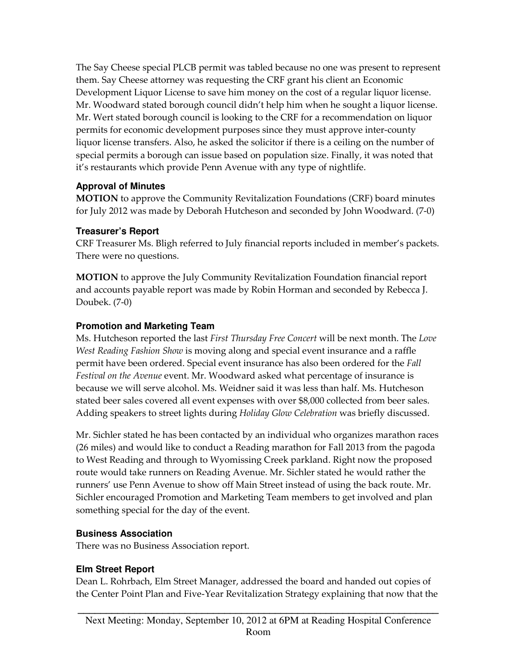The Say Cheese special PLCB permit was tabled because no one was present to represent them. Say Cheese attorney was requesting the CRF grant his client an Economic Development Liquor License to save him money on the cost of a regular liquor license. Mr. Woodward stated borough council didn't help him when he sought a liquor license. Mr. Wert stated borough council is looking to the CRF for a recommendation on liquor permits for economic development purposes since they must approve inter-county liquor license transfers. Also, he asked the solicitor if there is a ceiling on the number of special permits a borough can issue based on population size. Finally, it was noted that it's restaurants which provide Penn Avenue with any type of nightlife.

#### **Approval of Minutes**

MOTION to approve the Community Revitalization Foundations (CRF) board minutes for July 2012 was made by Deborah Hutcheson and seconded by John Woodward. (7-0)

#### **Treasurer's Report**

CRF Treasurer Ms. Bligh referred to July financial reports included in member's packets. There were no questions.

MOTION to approve the July Community Revitalization Foundation financial report and accounts payable report was made by Robin Horman and seconded by Rebecca J. Doubek. (7-0)

# **Promotion and Marketing Team**

Ms. Hutcheson reported the last First Thursday Free Concert will be next month. The Love West Reading Fashion Show is moving along and special event insurance and a raffle permit have been ordered. Special event insurance has also been ordered for the Fall Festival on the Avenue event. Mr. Woodward asked what percentage of insurance is because we will serve alcohol. Ms. Weidner said it was less than half. Ms. Hutcheson stated beer sales covered all event expenses with over \$8,000 collected from beer sales. Adding speakers to street lights during Holiday Glow Celebration was briefly discussed.

Mr. Sichler stated he has been contacted by an individual who organizes marathon races (26 miles) and would like to conduct a Reading marathon for Fall 2013 from the pagoda to West Reading and through to Wyomissing Creek parkland. Right now the proposed route would take runners on Reading Avenue. Mr. Sichler stated he would rather the runners' use Penn Avenue to show off Main Street instead of using the back route. Mr. Sichler encouraged Promotion and Marketing Team members to get involved and plan something special for the day of the event.

# **Business Association**

There was no Business Association report.

# **Elm Street Report**

Dean L. Rohrbach, Elm Street Manager, addressed the board and handed out copies of the Center Point Plan and Five-Year Revitalization Strategy explaining that now that the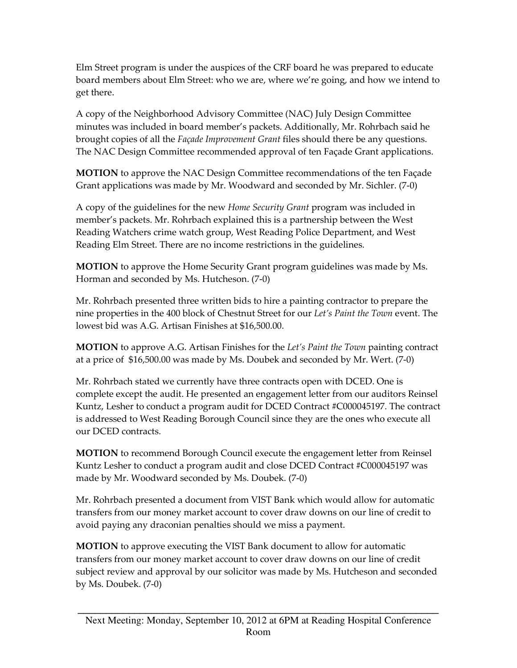Elm Street program is under the auspices of the CRF board he was prepared to educate board members about Elm Street: who we are, where we're going, and how we intend to get there.

A copy of the Neighborhood Advisory Committee (NAC) July Design Committee minutes was included in board member's packets. Additionally, Mr. Rohrbach said he brought copies of all the *Façade Improvement Grant* files should there be any questions. The NAC Design Committee recommended approval of ten Façade Grant applications.

MOTION to approve the NAC Design Committee recommendations of the ten Façade Grant applications was made by Mr. Woodward and seconded by Mr. Sichler. (7-0)

A copy of the guidelines for the new Home Security Grant program was included in member's packets. Mr. Rohrbach explained this is a partnership between the West Reading Watchers crime watch group, West Reading Police Department, and West Reading Elm Street. There are no income restrictions in the guidelines.

MOTION to approve the Home Security Grant program guidelines was made by Ms. Horman and seconded by Ms. Hutcheson. (7-0)

Mr. Rohrbach presented three written bids to hire a painting contractor to prepare the nine properties in the 400 block of Chestnut Street for our Let's Paint the Town event. The lowest bid was A.G. Artisan Finishes at \$16,500.00.

**MOTION** to approve A.G. Artisan Finishes for the Let's Paint the Town painting contract at a price of \$16,500.00 was made by Ms. Doubek and seconded by Mr. Wert. (7-0)

Mr. Rohrbach stated we currently have three contracts open with DCED. One is complete except the audit. He presented an engagement letter from our auditors Reinsel Kuntz, Lesher to conduct a program audit for DCED Contract #C000045197. The contract is addressed to West Reading Borough Council since they are the ones who execute all our DCED contracts.

MOTION to recommend Borough Council execute the engagement letter from Reinsel Kuntz Lesher to conduct a program audit and close DCED Contract #C000045197 was made by Mr. Woodward seconded by Ms. Doubek. (7-0)

Mr. Rohrbach presented a document from VIST Bank which would allow for automatic transfers from our money market account to cover draw downs on our line of credit to avoid paying any draconian penalties should we miss a payment.

MOTION to approve executing the VIST Bank document to allow for automatic transfers from our money market account to cover draw downs on our line of credit subject review and approval by our solicitor was made by Ms. Hutcheson and seconded by Ms. Doubek. (7-0)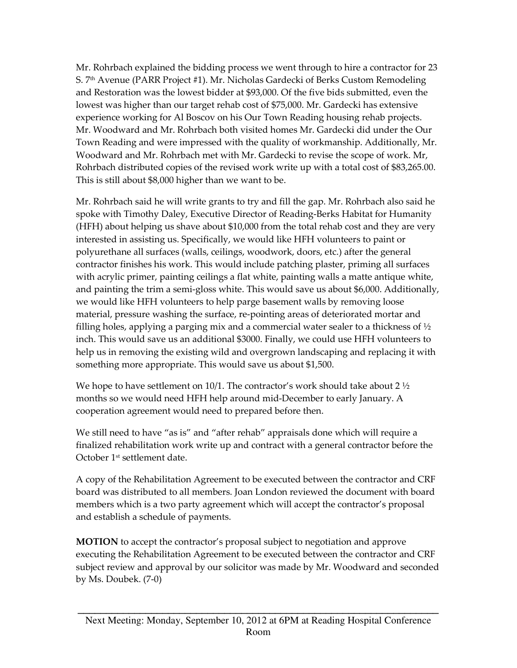Mr. Rohrbach explained the bidding process we went through to hire a contractor for 23 S. 7<sup>th</sup> Avenue (PARR Project #1). Mr. Nicholas Gardecki of Berks Custom Remodeling and Restoration was the lowest bidder at \$93,000. Of the five bids submitted, even the lowest was higher than our target rehab cost of \$75,000. Mr. Gardecki has extensive experience working for Al Boscov on his Our Town Reading housing rehab projects. Mr. Woodward and Mr. Rohrbach both visited homes Mr. Gardecki did under the Our Town Reading and were impressed with the quality of workmanship. Additionally, Mr. Woodward and Mr. Rohrbach met with Mr. Gardecki to revise the scope of work. Mr, Rohrbach distributed copies of the revised work write up with a total cost of \$83,265.00. This is still about \$8,000 higher than we want to be.

Mr. Rohrbach said he will write grants to try and fill the gap. Mr. Rohrbach also said he spoke with Timothy Daley, Executive Director of Reading-Berks Habitat for Humanity (HFH) about helping us shave about \$10,000 from the total rehab cost and they are very interested in assisting us. Specifically, we would like HFH volunteers to paint or polyurethane all surfaces (walls, ceilings, woodwork, doors, etc.) after the general contractor finishes his work. This would include patching plaster, priming all surfaces with acrylic primer, painting ceilings a flat white, painting walls a matte antique white, and painting the trim a semi-gloss white. This would save us about \$6,000. Additionally, we would like HFH volunteers to help parge basement walls by removing loose material, pressure washing the surface, re-pointing areas of deteriorated mortar and filling holes, applying a parging mix and a commercial water sealer to a thickness of  $\frac{1}{2}$ inch. This would save us an additional \$3000. Finally, we could use HFH volunteers to help us in removing the existing wild and overgrown landscaping and replacing it with something more appropriate. This would save us about \$1,500.

We hope to have settlement on 10/1. The contractor's work should take about 2  $\frac{1}{2}$ months so we would need HFH help around mid-December to early January. A cooperation agreement would need to prepared before then.

We still need to have "as is" and "after rehab" appraisals done which will require a finalized rehabilitation work write up and contract with a general contractor before the October 1st settlement date.

A copy of the Rehabilitation Agreement to be executed between the contractor and CRF board was distributed to all members. Joan London reviewed the document with board members which is a two party agreement which will accept the contractor's proposal and establish a schedule of payments.

MOTION to accept the contractor's proposal subject to negotiation and approve executing the Rehabilitation Agreement to be executed between the contractor and CRF subject review and approval by our solicitor was made by Mr. Woodward and seconded by Ms. Doubek. (7-0)